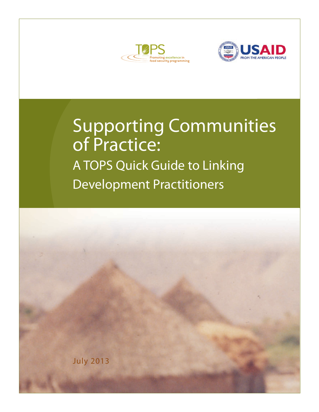



# Supporting Communities of Practice: A TOPS Quick Guide to Linking Development Practitioners

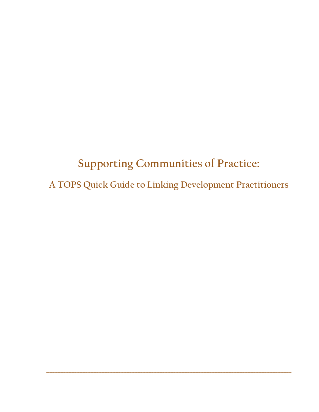**Supporting Communities of Practice: A TOPS Quick Guide to Linking Development Practitioners**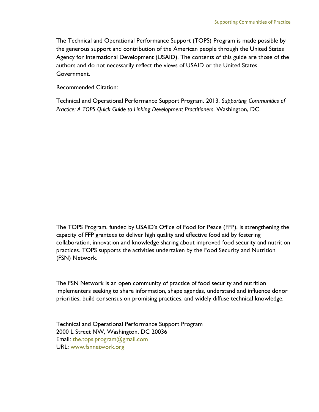The Technical and Operational Performance Support (TOPS) Program is made possible by the generous support and contribution of the American people through the United States Agency for International Development (USAID). The contents of this guide are those of the authors and do not necessarily reflect the views of USAID or the United States Government.

Recommended Citation:

Technical and Operational Performance Support Program. 2013. *Supporting Communities of Practice: A TOPS Quick Guide to Linking Development Practitioners*. Washington, DC.

The TOPS Program, funded by USAID's Office of Food for Peace (FFP), is strengthening the capacity of FFP grantees to deliver high quality and effective food aid by fostering collaboration, innovation and knowledge sharing about improved food security and nutrition practices. TOPS supports the activities undertaken by the Food Security and Nutrition (FSN) Network.

The FSN Network is an open community of practice of food security and nutrition implementers seeking to share information, shape agendas, understand and influence donor priorities, build consensus on promising practices, and widely diffuse technical knowledge.

Technical and Operational Performance Support Program 2000 L Street NW, Washington, DC 20036 Email: the.tops.program@gmail.com URL: [www.fsnnetwork.org](http://www.fsnnetwork.org/)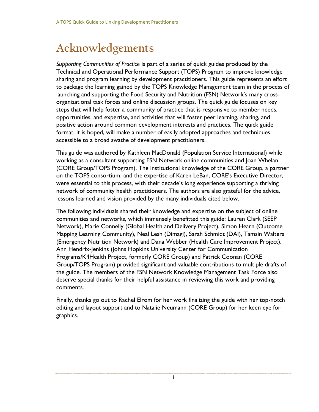## **Acknowledgements**

*Supporting Communities of Practice* is part of a series of quick guides produced by the Technical and Operational Performance Support (TOPS) Program to improve knowledge sharing and program learning by development practitioners. This guide represents an effort to package the learning gained by the TOPS Knowledge Management team in the process of launching and supporting the Food Security and Nutrition (FSN) Network's many crossorganizational task forces and online discussion groups. The quick guide focuses on key steps that will help foster a community of practice that is responsive to member needs, opportunities, and expertise, and activities that will foster peer learning, sharing, and positive action around common development interests and practices. The quick guide format, it is hoped, will make a number of easily adopted approaches and techniques accessible to a broad swathe of development practitioners.

This guide was authored by Kathleen MacDonald (Population Service International) while working as a consultant supporting FSN Network online communities and Joan Whelan (CORE Group/TOPS Program). The institutional knowledge of the CORE Group, a partner on the TOPS consortium, and the expertise of Karen LeBan, CORE's Executive Director, were essential to this process, with their decade's long experience supporting a thriving network of community health practitioners. The authors are also grateful for the advice, lessons learned and vision provided by the many individuals cited below.

The following individuals shared their knowledge and expertise on the subject of online communities and networks, which immensely benefitted this guide: Lauren Clark (SEEP Network), Marie Connelly (Global Health and Delivery Project), Simon Hearn (Outcome Mapping Learning Community), Neal Lesh (Dimagi), Sarah Schmidt (DAI), Tamsin Walters (Emergency Nutrition Network) and Dana Webber (Health Care Improvement Project). Ann Hendrix-Jenkins (Johns Hopkins University Center for Communication Programs/K4Health Project, formerly CORE Group) and Patrick Coonan (CORE Group/TOPS Program) provided significant and valuable contributions to multiple drafts of the guide. The members of the FSN Network Knowledge Management Task Force also deserve special thanks for their helpful assistance in reviewing this work and providing comments.

Finally, thanks go out to Rachel Elrom for her work finalizing the guide with her top-notch editing and layout support and to Natalie Neumann (CORE Group) for her keen eye for graphics.

i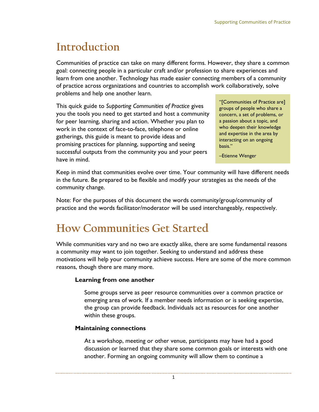## **Introduction**

Communities of practice can take on many different forms. However, they share a common goal: connecting people in a particular craft and/or profession to share experiences and learn from one another. Technology has made easier connecting members of a community of practice across organizations and countries to accomplish work collaboratively, solve problems and help one another learn.

This quick guide to *Supporting Communities of Practice* gives you the tools you need to get started and host a community for peer learning, sharing and action. Whether you plan to work in the context of face-to-face, telephone or online gatherings, this guide is meant to provide ideas and promising practices for planning, supporting and seeing successful outputs from the community you and your peers have in mind.

"[Communities of Practice are] groups of people who share a concern, a set of problems, or a passion about a topic, and who deepen their knowledge and expertise in the area by interacting on an ongoing basis."

–Etienne Wenger

Keep in mind that communities evolve over time. Your community will have different needs in the future. Be prepared to be flexible and modify your strategies as the needs of the community change.

Note: For the purposes of this document the words community/group/community of practice and the words facilitator/moderator will be used interchangeably, respectively.

## **How Communities Get Started**

While communities vary and no two are exactly alike, there are some fundamental reasons a community may want to join together. Seeking to understand and address these motivations will help your community achieve success. Here are some of the more common reasons, though there are many more.

## **Learning from one another**

Some groups serve as peer resource communities over a common practice or emerging area of work. If a member needs information or is seeking expertise, the group can provide feedback. Individuals act as resources for one another within these groups.

## **Maintaining connections**

At a workshop, meeting or other venue, participants may have had a good discussion or learned that they share some common goals or interests with one another. Forming an ongoing community will allow them to continue a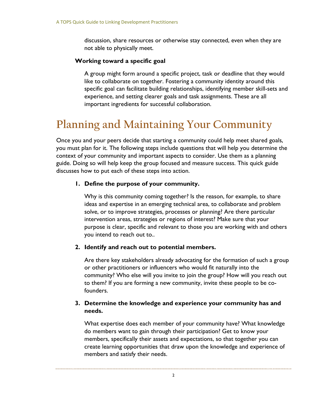discussion, share resources or otherwise stay connected, even when they are not able to physically meet.

## **Working toward a specific goal**

A group might form around a specific project, task or deadline that they would like to collaborate on together. Fostering a community identity around this specific goal can facilitate building relationships, identifying member skill-sets and experience, and setting clearer goals and task assignments. These are all important ingredients for successful collaboration.

## **Planning and Maintaining Your Community**

Once you and your peers decide that starting a community could help meet shared goals, you must plan for it. The following steps include questions that will help you determine the context of your community and important aspects to consider. Use them as a planning guide. Doing so will help keep the group focused and measure success. This quick guide discusses how to put each of these steps into action.

## **1. Define the purpose of your community.**

Why is this community coming together? Is the reason, for example, to share ideas and expertise in an emerging technical area, to collaborate and problem solve, or to improve strategies, processes or planning? Are there particular intervention areas, strategies or regions of interest? Make sure that your purpose is clear, specific and relevant to those you are working with and others you intend to reach out to..

## **2. Identify and reach out to potential members.**

Are there key stakeholders already advocating for the formation of such a group or other practitioners or influencers who would fit naturally into the community? Who else will you invite to join the group? How will you reach out to them? If you are forming a new community, invite these people to be cofounders.

## **3. Determine the knowledge and experience your community has and needs.**

What expertise does each member of your community have? What knowledge do members want to gain through their participation? Get to know your members, specifically their assets and expectations, so that together you can create learning opportunities that draw upon the knowledge and experience of members and satisfy their needs.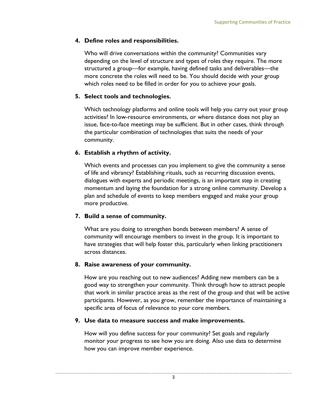## **4. Define roles and responsibilities.**

Who will drive conversations within the community? Communities vary depending on the level of structure and types of roles they require. The more structured a group—for example, having defined tasks and deliverables—the more concrete the roles will need to be. You should decide with your group which roles need to be filled in order for you to achieve your goals.

## **5. Select tools and technologies.**

Which technology platforms and online tools will help you carry out your group activities? In low-resource environments, or where distance does not play an issue, face-to-face meetings may be sufficient. But in other cases, think through the particular combination of technologies that suits the needs of your community.

## **6. Establish a rhythm of activity.**

Which events and processes can you implement to give the community a sense of life and vibrancy? Establishing rituals, such as recurring discussion events, dialogues with experts and periodic meetings, is an important step in creating momentum and laying the foundation for a strong online community. Develop a plan and schedule of events to keep members engaged and make your group more productive.

## **7. Build a sense of community.**

What are you doing to strengthen bonds between members? A sense of community will encourage members to invest in the group. It is important to have strategies that will help foster this, particularly when linking practitioners across distances.

## **8. Raise awareness of your community.**

How are you reaching out to new audiences? Adding new members can be a good way to strengthen your community. Think through how to attract people that work in similar practice areas as the rest of the group and that will be active participants. However, as you grow, remember the importance of maintaining a specific area of focus of relevance to your core members.

## **9. Use data to measure success and make improvements.**

How will you define success for your community? Set goals and regularly monitor your progress to see how you are doing. Also use data to determine how you can improve member experience.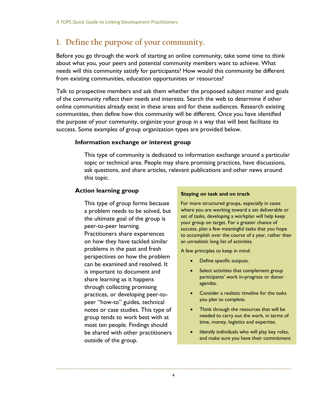## **1. Define the purpose of your community.**

Before you go through the work of starting an online community, take some time to think about what you, your peers and potential community members want to achieve. What needs will this community satisfy for participants? How would this community be different from existing communities, education opportunities or resources?

Talk to prospective members and ask them whether the proposed subject matter and goals of the community reflect their needs and interests. Search the web to determine if other online communities already exist in these areas and for these audiences. Research existing communities, then define how this community will be different. Once you have identified the purpose of your community, organize your group in a way that will best facilitate its success. Some examples of group organization types are provided below.

## **Information exchange or interest group**

This type of community is dedicated to information exchange around a particular topic or technical area. People may share promising practices, have discussions, ask questions, and share articles, relevant publications and other news around this topic.

### **Action learning group**

This type of group forms because a problem needs to be solved, but the ultimate goal of the group is peer-to-peer learning. Practitioners share experiences on how they have tackled similar problems in the past and fresh perspectives on how the problem can be examined and resolved. It is important to document and share learning as it happens through collecting promising practices, or developing peer-topeer "how-to" guides, technical notes or case studies. This type of group tends to work best with at most ten people. Findings should be shared with other practitioners outside of the group.

#### **Staying on task and on track**

For more structured groups, especially in cases where you are working toward a set deliverable or set of tasks, developing a workplan will help keep your group on target. For a greater chance of success, plan a few meaningful tasks that you hope to accomplish over the course of a year, rather than an unrealistic long list of activities.

A few principles to keep in mind:

- Define specific outputs.
- Select activities that complement group participants' work in-progress or donor agendas.
- Consider a realistic timeline for the tasks you plan to complete.
- Think through the resources that will be needed to carry out the work, in terms of time, money, logistics and expertise.
- Identify individuals who will play key roles, and make sure you have their commitment.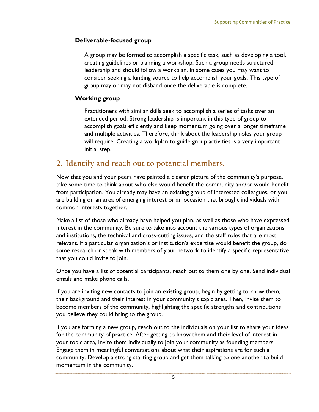## **Deliverable-focused group**

A group may be formed to accomplish a specific task, such as developing a tool, creating guidelines or planning a workshop. Such a group needs structured leadership and should follow a workplan. In some cases you may want to consider seeking a funding source to help accomplish your goals. This type of group may or may not disband once the deliverable is complete.

## **Working group**

Practitioners with similar skills seek to accomplish a series of tasks over an extended period. Strong leadership is important in this type of group to accomplish goals efficiently and keep momentum going over a longer timeframe and multiple activities. Therefore, think about the leadership roles your group will require. Creating a workplan to guide group activities is a very important initial step.

## **2. Identify and reach out to potential members.**

Now that you and your peers have painted a clearer picture of the community's purpose, take some time to think about who else would benefit the community and/or would benefit from participation. You already may have an existing group of interested colleagues, or you are building on an area of emerging interest or an occasion that brought individuals with common interests together.

Make a list of those who already have helped you plan, as well as those who have expressed interest in the community. Be sure to take into account the various types of organizations and institutions, the technical and cross-cutting issues, and the staff roles that are most relevant. If a particular organization's or institution's expertise would benefit the group, do some research or speak with members of your network to identify a specific representative that you could invite to join.

Once you have a list of potential participants, reach out to them one by one. Send individual emails and make phone calls.

If you are inviting new contacts to join an existing group, begin by getting to know them, their background and their interest in your community's topic area. Then, invite them to become members of the community, highlighting the specific strengths and contributions you believe they could bring to the group.

If you are forming a new group, reach out to the individuals on your list to share your ideas for the community of practice. After getting to know them and their level of interest in your topic area, invite them individually to join your community as founding members. Engage them in meaningful conversations about what their aspirations are for such a community. Develop a strong starting group and get them talking to one another to build momentum in the community.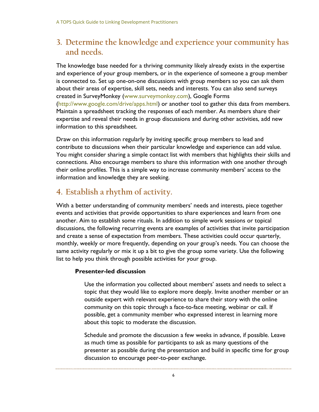## **3. Determine the knowledge and experience your community has and needs.**

The knowledge base needed for a thriving community likely already exists in the expertise and experience of your group members, or in the experience of someone a group member is connected to. Set up one-on-one discussions with group members so you can ask them about their areas of expertise, skill sets, needs and interests. You can also send surveys created in SurveyMonkey [\(www.surveymonkey.com\)](file:///C:/Users/Rachel/AppData/Local/Temp/www.surveymonkey.com), Google Forms [\(http://www.google.com/drive/apps.html\)](http://www.google.com/drive/apps.html) or another tool to gather this data from members. Maintain a spreadsheet tracking the responses of each member. As members share their expertise and reveal their needs in group discussions and during other activities, add new information to this spreadsheet.

Draw on this information regularly by inviting specific group members to lead and contribute to discussions when their particular knowledge and experience can add value. You might consider sharing a simple contact list with members that highlights their skills and connections. Also encourage members to share this information with one another through their online profiles. This is a simple way to increase community members' access to the information and knowledge they are seeking.

## **4. Establish a rhythm of activity.**

With a better understanding of community members' needs and interests, piece together events and activities that provide opportunities to share experiences and learn from one another. Aim to establish some rituals. In addition to simple work sessions or topical discussions, the following recurring events are examples of activities that invite participation and create a sense of expectation from members. These activities could occur quarterly, monthly, weekly or more frequently, depending on your group's needs. You can choose the same activity regularly or mix it up a bit to give the group some variety. Use the following list to help you think through possible activities for your group.

## **Presenter-led discussion**

Use the information you collected about members' assets and needs to select a topic that they would like to explore more deeply. Invite another member or an outside expert with relevant experience to share their story with the online community on this topic through a face-to-face meeting, webinar or call. If possible, get a community member who expressed interest in learning more about this topic to moderate the discussion.

Schedule and promote the discussion a few weeks in advance, if possible. Leave as much time as possible for participants to ask as many questions of the presenter as possible during the presentation and build in specific time for group discussion to encourage peer-to-peer exchange.

6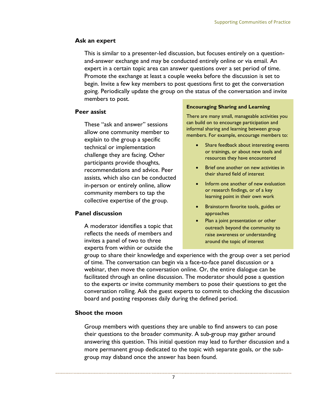## **Ask an expert**

This is similar to a presenter-led discussion, but focuses entirely on a questionand-answer exchange and may be conducted entirely online or via email. An expert in a certain topic area can answer questions over a set period of time. Promote the exchange at least a couple weeks before the discussion is set to begin. Invite a few key members to post questions first to get the conversation going. Periodically update the group on the status of the conversation and invite members to post.

## **Peer assist**

These "ask and answer" sessions allow one community member to explain to the group a specific technical or implementation challenge they are facing. Other participants provide thoughts, recommendations and advice. Peer assists, which also can be conducted in-person or entirely online, allow community members to tap the collective expertise of the group.

## **Panel discussion**

A moderator identifies a topic that reflects the needs of members and invites a panel of two to three experts from within or outside the

#### **Encouraging Sharing and Learning**

There are many small, manageable activities you can build on to encourage participation and informal sharing and learning between group members. For example, encourage members to:

- Share feedback about interesting events or trainings, or about new tools and resources they have encountered
- Brief one another on new activities in their shared field of interest
- Inform one another of new evaluation or research findings, or of a key learning point in their own work
- Brainstorm favorite tools, guides or approaches
- Plan a joint presentation or other outreach beyond the community to raise awareness or understanding around the topic of interest

group to share their knowledge and experience with the group over a set period of time. The conversation can begin via a face-to-face panel discussion or a webinar, then move the conversation online. Or, the entire dialogue can be facilitated through an online discussion. The moderator should pose a question to the experts or invite community members to pose their questions to get the conversation rolling. Ask the guest experts to commit to checking the discussion board and posting responses daily during the defined period.

## **Shoot the moon**

Group members with questions they are unable to find answers to can pose their questions to the broader community. A sub-group may gather around answering this question. This initial question may lead to further discussion and a more permanent group dedicated to the topic with separate goals, or the subgroup may disband once the answer has been found.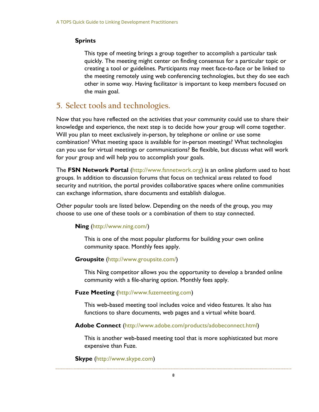## **Sprints**

This type of meeting brings a group together to accomplish a particular task quickly. The meeting might center on finding consensus for a particular topic or creating a tool or guidelines. Participants may meet face-to-face or be linked to the meeting remotely using web conferencing technologies, but they do see each other in some way. Having facilitator is important to keep members focused on the main goal.

## **5. Select tools and technologies.**

Now that you have reflected on the activities that your community could use to share their knowledge and experience, the next step is to decide how your group will come together. Will you plan to meet exclusively in-person, by telephone or online or use some combination? What meeting space is available for in-person meetings? What technologies can you use for virtual meetings or communications? Be flexible, but discuss what will work for your group and will help you to accomplish your goals.

The **FSN Network Portal** [\(http://www.fsnnetwork.org\)](http://www.fsnnetwork.org/) is an online platform used to host groups. In addition to discussion forums that focus on technical areas related to food security and nutrition, the portal provides collaborative spaces where online communities can exchange information, share documents and establish dialogue.

Other popular tools are listed below. Depending on the needs of the group, you may choose to use one of these tools or a combination of them to stay connected.

## **Ning** [\(http://www.ning.com/\)](http://www.ning.com/)

This is one of the most popular platforms for building your own online community space. Monthly fees apply.

#### **Groupsite** (http://www.groupsite.com/)

This Ning competitor allows you the opportunity to develop a branded online community with a file-sharing option. Monthly fees apply.

#### **Fuze Meeting** [\(http://www.fuzemeeting.com\)](http://www.fuzemeeting.com/)

This web-based meeting tool includes voice and video features. It also has functions to share documents, web pages and a virtual white board.

## **Adobe Connect** [\(http://www.adobe.com/products/adobeconnect.html\)](http://www.adobe.com/products/adobeconnect.html)

This is another web-based meeting tool that is more sophisticated but more expensive than Fuze.

**Skype** [\(http://www.skype.com\)](http://www.skype.com/)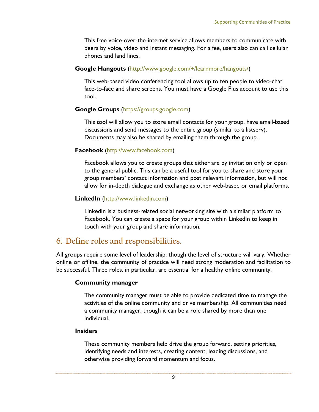This free voice-over-the-internet service allows members to communicate with peers by voice, video and instant messaging. For a fee, users also can call cellular phones and land lines.

### **Google Hangouts** [\(http://www.google.com/+/learnmore/hangouts/\)](http://www.google.com/+/learnmore/hangouts/)

This web-based video conferencing tool allows up to ten people to video-chat face-to-face and share screens. You must have a Google Plus account to use this tool.

## **Google Groups** [\(https://groups.google.com\)](https://groups.google.com/)

This tool will allow you to store email contacts for your group, have email-based discussions and send messages to the entire group (similar to a listserv). Documents may also be shared by emailing them through the group.

### **Facebook** [\(http://www.facebook.com\)](http://www.facebook.com/)

Facebook allows you to create groups that either are by invitation only or open to the general public. This can be a useful tool for you to share and store your group members' contact information and post relevant information, but will not allow for in-depth dialogue and exchange as other web-based or email platforms.

#### **LinkedIn** [\(http://www.linkedin.com\)](http://www.linkedin.com/)

LinkedIn is a business-related social networking site with a similar platform to Facebook. You can create a space for your group within LinkedIn to keep in touch with your group and share information.

## **6. Define roles and responsibilities.**

All groups require some level of leadership, though the level of structure will vary. Whether online or offline, the community of practice will need strong moderation and facilitation to be successful. Three roles, in particular, are essential for a healthy online community.

#### **Community manager**

The community manager must be able to provide dedicated time to manage the activities of the online community and drive membership. All communities need a community manager, though it can be a role shared by more than one individual.

#### **Insiders**

These community members help drive the group forward, setting priorities, identifying needs and interests, creating content, leading discussions, and otherwise providing forward momentum and focus.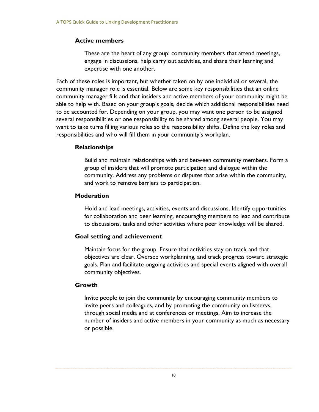## **Active members**

These are the heart of any group: community members that attend meetings, engage in discussions, help carry out activities, and share their learning and expertise with one another.

Each of these roles is important, but whether taken on by one individual or several, the community manager role is essential. Below are some key responsibilities that an online community manager fills and that insiders and active members of your community might be able to help with. Based on your group's goals, decide which additional responsibilities need to be accounted for. Depending on your group, you may want one person to be assigned several responsibilities or one responsibility to be shared among several people. You may want to take turns filling various roles so the responsibility shifts. Define the key roles and responsibilities and who will fill them in your community's workplan.

## **Relationships**

Build and maintain relationships with and between community members. Form a group of insiders that will promote participation and dialogue within the community. Address any problems or disputes that arise within the community, and work to remove barriers to participation.

### **Moderation**

Hold and lead meetings, activities, events and discussions. Identify opportunities for collaboration and peer learning, encouraging members to lead and contribute to discussions, tasks and other activities where peer knowledge will be shared.

## **Goal setting and achievement**

Maintain focus for the group. Ensure that activities stay on track and that objectives are clear. Oversee workplanning, and track progress toward strategic goals. Plan and facilitate ongoing activities and special events aligned with overall community objectives.

## **Growth**

Invite people to join the community by encouraging community members to invite peers and colleagues, and by promoting the community on listservs, through social media and at conferences or meetings. Aim to increase the number of insiders and active members in your community as much as necessary or possible.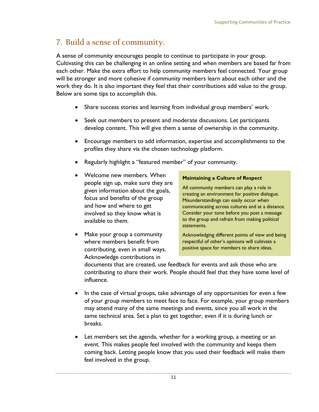## **7. Build a sense of community.**

A sense of community encourages people to continue to participate in your group. Cultivating this can be challenging in an online setting and when members are based far from each other. Make the extra effort to help community members feel connected. Your group will be stronger and more cohesive if community members learn about each other and the work they do. It is also important they feel that their contributions add value to the group. Below are some tips to accomplish this.

- Share success stories and learning from individual group members' work.
- Seek out members to present and moderate discussions. Let participants develop content. This will give them a sense of ownership in the community.
- Encourage members to add information, expertise and accomplishments to the profiles they share via the chosen technology platform.
- Regularly highlight a "featured member" of your community.
- Welcome new members. When people sign up, make sure they are given information about the goals, focus and benefits of the group and how and where to get involved so they know what is available to them.
- Make your group a community where members benefit from contributing, even in small ways. Acknowledge contributions in

## **Maintaining a Culture of Respect**

All community members can play a role in creating an environment for positive dialogue. Misunderstandings can easily occur when communicating across cultures and at a distance. Consider your tone before you post a message to the group and refrain from making political statements.

Acknowledging different points of view and being respectful of other's opinions will cultivate a positive space for members to share ideas.

documents that are created, use feedback for events and ask those who are contributing to share their work. People should feel that they have some level of influence.

- In the case of virtual groups, take advantage of any opportunities for even a few of your group members to meet face to face. For example, your group members may attend many of the same meetings and events, since you all work in the same technical area. Set a plan to get together, even if it is during lunch or breaks.
- Let members set the agenda, whether for a working group, a meeting or an event. This makes people feel involved with the community and keeps them coming back. Letting people know that you used their feedback will make them feel involved in the group.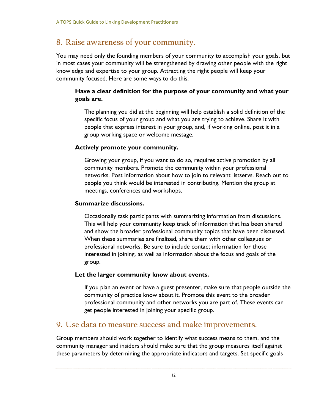## **8. Raise awareness of your community.**

You may need only the founding members of your community to accomplish your goals, but in most cases your community will be strengthened by drawing other people with the right knowledge and expertise to your group. Attracting the right people will keep your community focused. Here are some ways to do this.

## **Have a clear definition for the purpose of your community and what your goals are.**

The planning you did at the beginning will help establish a solid definition of the specific focus of your group and what you are trying to achieve. Share it with people that express interest in your group, and, if working online, post it in a group working space or welcome message.

## **Actively promote your community.**

Growing your group, if you want to do so, requires active promotion by all community members. Promote the community within your professional networks. Post information about how to join to relevant listservs. Reach out to people you think would be interested in contributing. Mention the group at meetings, conferences and workshops.

## **Summarize discussions.**

Occasionally task participants with summarizing information from discussions. This will help your community keep track of information that has been shared and show the broader professional community topics that have been discussed. When these summaries are finalized, share them with other colleagues or professional networks. Be sure to include contact information for those interested in joining, as well as information about the focus and goals of the group.

## **Let the larger community know about events.**

If you plan an event or have a guest presenter, make sure that people outside the community of practice know about it. Promote this event to the broader professional community and other networks you are part of. These events can get people interested in joining your specific group.

## **9. Use data to measure success and make improvements.**

Group members should work together to identify what success means to them, and the community manager and insiders should make sure that the group measures itself against these parameters by determining the appropriate indicators and targets. Set specific goals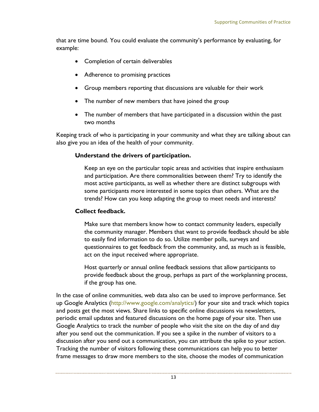that are time bound. You could evaluate the community's performance by evaluating, for example:

- Completion of certain deliverables
- Adherence to promising practices
- Group members reporting that discussions are valuable for their work
- The number of new members that have joined the group
- The number of members that have participated in a discussion within the past two months

Keeping track of who is participating in your community and what they are talking about can also give you an idea of the health of your community.

## **Understand the drivers of participation.**

Keep an eye on the particular topic areas and activities that inspire enthusiasm and participation. Are there commonalities between them? Try to identify the most active participants, as well as whether there are distinct subgroups with some participants more interested in some topics than others. What are the trends? How can you keep adapting the group to meet needs and interests?

## **Collect feedback.**

Make sure that members know how to contact community leaders, especially the community manager. Members that want to provide feedback should be able to easily find information to do so. Utilize member polls, surveys and questionnaires to get feedback from the community, and, as much as is feasible, act on the input received where appropriate.

Host quarterly or annual online feedback sessions that allow participants to provide feedback about the group, perhaps as part of the workplanning process, if the group has one.

In the case of online communities, web data also can be used to improve performance. Set up Google Analytics [\(http://www.google.com/analytics/\)](http://www.google.com/analytics/) for your site and track which topics and posts get the most views. Share links to specific online discussions via newsletters, periodic email updates and featured discussions on the home page of your site. Then use Google Analytics to track the number of people who visit the site on the day of and day after you send out the communication. If you see a spike in the number of visitors to a discussion after you send out a communication, you can attribute the spike to your action. Tracking the number of visitors following these communications can help you to better frame messages to draw more members to the site, choose the modes of communication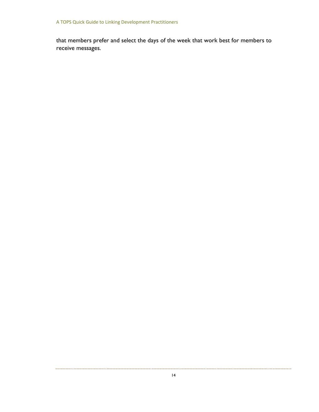that members prefer and select the days of the week that work best for members to receive messages.